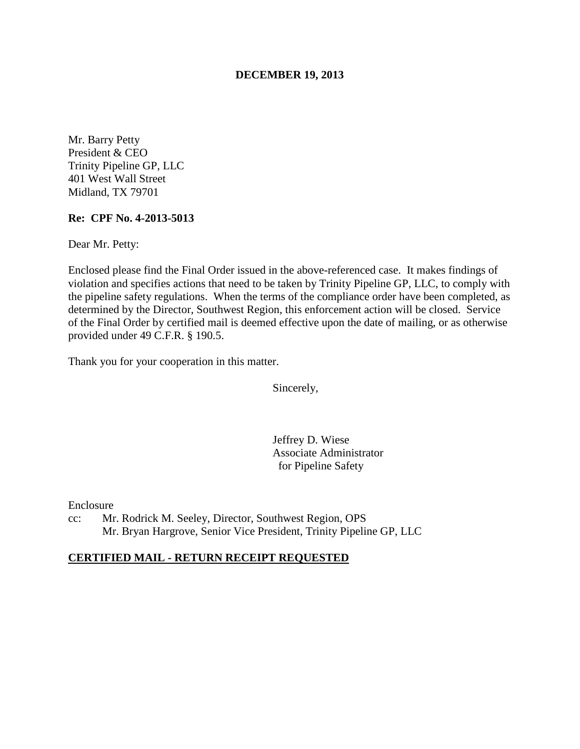### **DECEMBER 19, 2013**

Mr. Barry Petty President & CEO Trinity Pipeline GP, LLC 401 West Wall Street Midland, TX 79701

#### **Re: CPF No. 4-2013-5013**

Dear Mr. Petty:

Enclosed please find the Final Order issued in the above-referenced case. It makes findings of violation and specifies actions that need to be taken by Trinity Pipeline GP, LLC, to comply with the pipeline safety regulations. When the terms of the compliance order have been completed, as determined by the Director, Southwest Region, this enforcement action will be closed. Service of the Final Order by certified mail is deemed effective upon the date of mailing, or as otherwise provided under 49 C.F.R. § 190.5.

Thank you for your cooperation in this matter.

Sincerely,

Jeffrey D. Wiese Associate Administrator for Pipeline Safety

Enclosure

cc: Mr. Rodrick M. Seeley, Director, Southwest Region, OPS Mr. Bryan Hargrove, Senior Vice President, Trinity Pipeline GP, LLC

### **CERTIFIED MAIL - RETURN RECEIPT REQUESTED**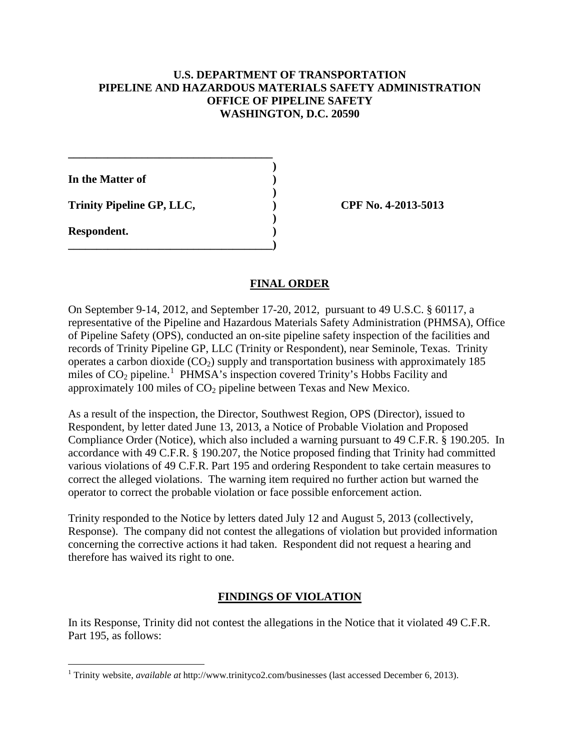### **U.S. DEPARTMENT OF TRANSPORTATION PIPELINE AND HAZARDOUS MATERIALS SAFETY ADMINISTRATION OFFICE OF PIPELINE SAFETY WASHINGTON, D.C. 20590**

**In the Matter of )** 

**Trinity Pipeline GP, LLC, ) CPF No. 4-2013-5013**

**\_\_\_\_\_\_\_\_\_\_\_\_\_\_\_\_\_\_\_\_\_\_\_\_\_\_\_\_\_\_\_\_\_\_\_\_ )** 

 **)** 

 **)** 

**\_\_\_\_\_\_\_\_\_\_\_\_\_\_\_\_\_\_\_\_\_\_\_\_\_\_\_\_\_\_\_\_\_\_\_\_)** 

**Respondent. )** 

 $\overline{a}$ 

# **FINAL ORDER**

On September 9-14, 2012, and September 17-20, 2012, pursuant to 49 U.S.C. § 60117, a representative of the Pipeline and Hazardous Materials Safety Administration (PHMSA), Office of Pipeline Safety (OPS), conducted an on-site pipeline safety inspection of the facilities and records of Trinity Pipeline GP, LLC (Trinity or Respondent), near Seminole, Texas. Trinity operates a carbon dioxide  $(CO_2)$  supply and transportation business with approximately 185 miles of  $CO<sub>2</sub>$  pipeline.<sup>1</sup> PHMSA's inspection covered Trinity's Hobbs Facility and approximately 100 miles of  $CO<sub>2</sub>$  pipeline between Texas and New Mexico.

As a result of the inspection, the Director, Southwest Region, OPS (Director), issued to Respondent, by letter dated June 13, 2013, a Notice of Probable Violation and Proposed Compliance Order (Notice), which also included a warning pursuant to 49 C.F.R. § 190.205. In accordance with 49 C.F.R. § 190.207, the Notice proposed finding that Trinity had committed various violations of 49 C.F.R. Part 195 and ordering Respondent to take certain measures to correct the alleged violations. The warning item required no further action but warned the operator to correct the probable violation or face possible enforcement action.

Trinity responded to the Notice by letters dated July 12 and August 5, 2013 (collectively, Response). The company did not contest the allegations of violation but provided information concerning the corrective actions it had taken. Respondent did not request a hearing and therefore has waived its right to one.

# **FINDINGS OF VIOLATION**

In its Response, Trinity did not contest the allegations in the Notice that it violated 49 C.F.R. Part 195, as follows:

<sup>1</sup> Trinity website, *available at* http://www.trinityco2.com/businesses (last accessed December 6, 2013).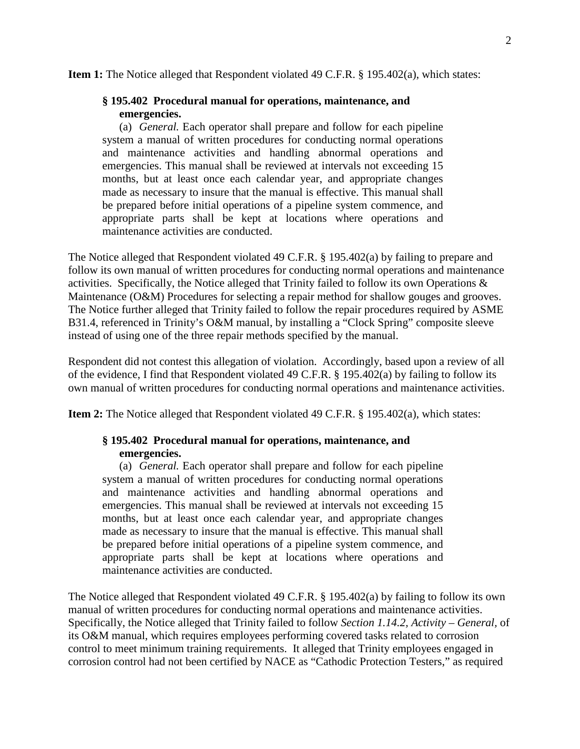**Item 1:** The Notice alleged that Respondent violated 49 C.F.R. § 195.402(a), which states:

#### **§ 195.402 Procedural manual for operations, maintenance, and emergencies.**

(a) *General.* Each operator shall prepare and follow for each pipeline system a manual of written procedures for conducting normal operations and maintenance activities and handling abnormal operations and emergencies. This manual shall be reviewed at intervals not exceeding 15 months, but at least once each calendar year, and appropriate changes made as necessary to insure that the manual is effective. This manual shall be prepared before initial operations of a pipeline system commence, and appropriate parts shall be kept at locations where operations and maintenance activities are conducted.

The Notice alleged that Respondent violated 49 C.F.R. § 195.402(a) by failing to prepare and follow its own manual of written procedures for conducting normal operations and maintenance activities. Specifically, the Notice alleged that Trinity failed to follow its own Operations & Maintenance (O&M) Procedures for selecting a repair method for shallow gouges and grooves. The Notice further alleged that Trinity failed to follow the repair procedures required by ASME B31.4, referenced in Trinity's O&M manual, by installing a "Clock Spring" composite sleeve instead of using one of the three repair methods specified by the manual.

Respondent did not contest this allegation of violation. Accordingly, based upon a review of all of the evidence, I find that Respondent violated 49 C.F.R. § 195.402(a) by failing to follow its own manual of written procedures for conducting normal operations and maintenance activities.

**Item 2:** The Notice alleged that Respondent violated 49 C.F.R. § 195.402(a), which states:

# **§ 195.402 Procedural manual for operations, maintenance, and emergencies.**

(a) *General.* Each operator shall prepare and follow for each pipeline system a manual of written procedures for conducting normal operations and maintenance activities and handling abnormal operations and emergencies. This manual shall be reviewed at intervals not exceeding 15 months, but at least once each calendar year, and appropriate changes made as necessary to insure that the manual is effective. This manual shall be prepared before initial operations of a pipeline system commence, and appropriate parts shall be kept at locations where operations and maintenance activities are conducted.

The Notice alleged that Respondent violated 49 C.F.R. § 195.402(a) by failing to follow its own manual of written procedures for conducting normal operations and maintenance activities. Specifically, the Notice alleged that Trinity failed to follow *Section 1.14.2, Activity – General,* of its O&M manual, which requires employees performing covered tasks related to corrosion control to meet minimum training requirements. It alleged that Trinity employees engaged in corrosion control had not been certified by NACE as "Cathodic Protection Testers," as required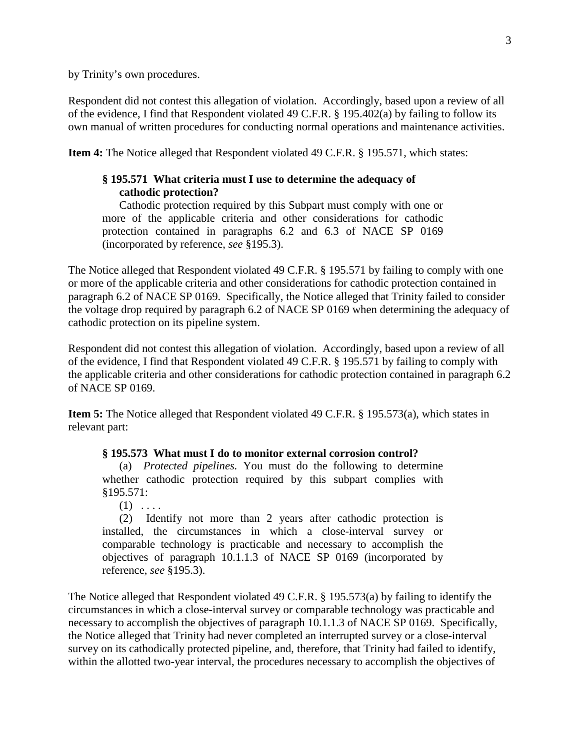by Trinity's own procedures.

Respondent did not contest this allegation of violation. Accordingly, based upon a review of all of the evidence, I find that Respondent violated 49 C.F.R. § 195.402(a) by failing to follow its own manual of written procedures for conducting normal operations and maintenance activities.

**Item 4:** The Notice alleged that Respondent violated 49 C.F.R. § 195.571, which states:

### **§ 195.571 What criteria must I use to determine the adequacy of cathodic protection?**

Cathodic protection required by this Subpart must comply with one or more of the applicable criteria and other considerations for cathodic protection contained in paragraphs 6.2 and 6.3 of NACE SP 0169 (incorporated by reference, *see* §195.3).

The Notice alleged that Respondent violated 49 C.F.R. § 195.571 by failing to comply with one or more of the applicable criteria and other considerations for cathodic protection contained in paragraph 6.2 of NACE SP 0169. Specifically, the Notice alleged that Trinity failed to consider the voltage drop required by paragraph 6.2 of NACE SP 0169 when determining the adequacy of cathodic protection on its pipeline system.

Respondent did not contest this allegation of violation. Accordingly, based upon a review of all of the evidence, I find that Respondent violated 49 C.F.R. § 195.571 by failing to comply with the applicable criteria and other considerations for cathodic protection contained in paragraph 6.2 of NACE SP 0169.

**Item 5:** The Notice alleged that Respondent violated 49 C.F.R. § 195.573(a), which states in relevant part:

#### **§ 195.573 What must I do to monitor external corrosion control?**

(a) *Protected pipelines.* You must do the following to determine whether cathodic protection required by this subpart complies with §195.571:

 $(1)$  ....

(2) Identify not more than 2 years after cathodic protection is installed, the circumstances in which a close-interval survey or comparable technology is practicable and necessary to accomplish the objectives of paragraph 10.1.1.3 of NACE SP 0169 (incorporated by reference, *see* §195.3).

The Notice alleged that Respondent violated 49 C.F.R. § 195.573(a) by failing to identify the circumstances in which a close-interval survey or comparable technology was practicable and necessary to accomplish the objectives of paragraph 10.1.1.3 of NACE SP 0169. Specifically, the Notice alleged that Trinity had never completed an interrupted survey or a close-interval survey on its cathodically protected pipeline, and, therefore, that Trinity had failed to identify, within the allotted two-year interval, the procedures necessary to accomplish the objectives of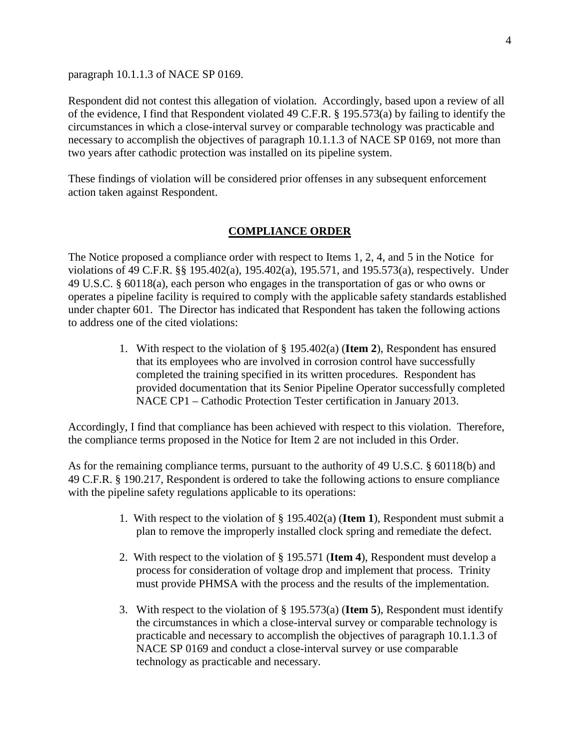paragraph 10.1.1.3 of NACE SP 0169.

Respondent did not contest this allegation of violation. Accordingly, based upon a review of all of the evidence, I find that Respondent violated 49 C.F.R. § 195.573(a) by failing to identify the circumstances in which a close-interval survey or comparable technology was practicable and necessary to accomplish the objectives of paragraph 10.1.1.3 of NACE SP 0169, not more than two years after cathodic protection was installed on its pipeline system.

These findings of violation will be considered prior offenses in any subsequent enforcement action taken against Respondent.

#### **COMPLIANCE ORDER**

The Notice proposed a compliance order with respect to Items 1, 2, 4, and 5 in the Notice for violations of 49 C.F.R. §§ 195.402(a), 195.402(a), 195.571, and 195.573(a), respectively. Under 49 U.S.C. § 60118(a), each person who engages in the transportation of gas or who owns or operates a pipeline facility is required to comply with the applicable safety standards established under chapter 601. The Director has indicated that Respondent has taken the following actions to address one of the cited violations:

> 1. With respect to the violation of § 195.402(a) (**Item 2**), Respondent has ensured that its employees who are involved in corrosion control have successfully completed the training specified in its written procedures. Respondent has provided documentation that its Senior Pipeline Operator successfully completed NACE CP1 – Cathodic Protection Tester certification in January 2013.

Accordingly, I find that compliance has been achieved with respect to this violation. Therefore, the compliance terms proposed in the Notice for Item 2 are not included in this Order.

As for the remaining compliance terms, pursuant to the authority of 49 U.S.C. § 60118(b) and 49 C.F.R. § 190.217, Respondent is ordered to take the following actions to ensure compliance with the pipeline safety regulations applicable to its operations:

- 1. With respect to the violation of § 195.402(a) (**Item 1**), Respondent must submit a plan to remove the improperly installed clock spring and remediate the defect.
- 2. With respect to the violation of § 195.571 (**Item 4**), Respondent must develop a process for consideration of voltage drop and implement that process. Trinity must provide PHMSA with the process and the results of the implementation.
- 3. With respect to the violation of § 195.573(a) (**Item 5**), Respondent must identify the circumstances in which a close-interval survey or comparable technology is practicable and necessary to accomplish the objectives of paragraph 10.1.1.3 of NACE SP 0169 and conduct a close-interval survey or use comparable technology as practicable and necessary.